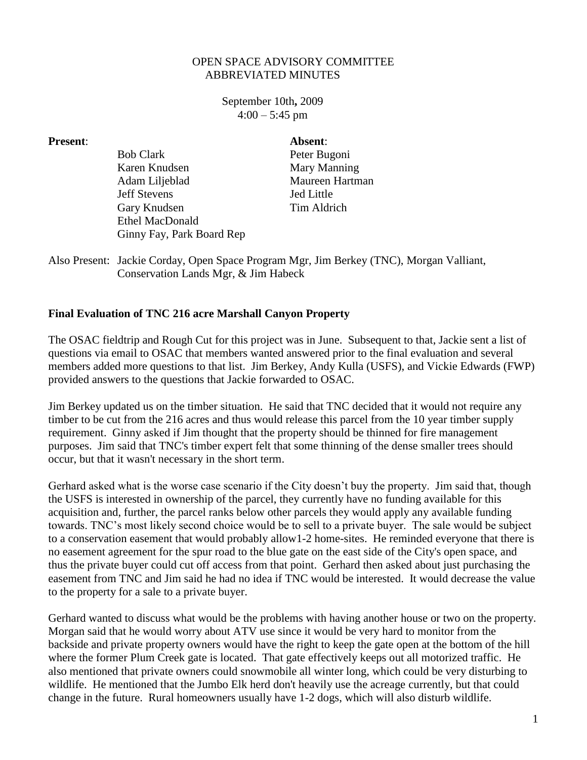## OPEN SPACE ADVISORY COMMITTEE ABBREVIATED MINUTES

September 10th**,** 2009  $4:00 - 5:45$  pm

| <b>Present:</b> |                           | Absent:           |
|-----------------|---------------------------|-------------------|
|                 | <b>Bob Clark</b>          | Peter Bugoni      |
|                 | Karen Knudsen             | Mary Manning      |
|                 | Adam Liljeblad            | Maureen Hartman   |
|                 | <b>Jeff Stevens</b>       | <b>Jed Little</b> |
|                 | Gary Knudsen              | Tim Aldrich       |
|                 | <b>Ethel MacDonald</b>    |                   |
|                 | Ginny Fay, Park Board Rep |                   |

Also Present: Jackie Corday, Open Space Program Mgr, Jim Berkey (TNC), Morgan Valliant, Conservation Lands Mgr, & Jim Habeck

## **Final Evaluation of TNC 216 acre Marshall Canyon Property**

The OSAC fieldtrip and Rough Cut for this project was in June. Subsequent to that, Jackie sent a list of questions via email to OSAC that members wanted answered prior to the final evaluation and several members added more questions to that list. Jim Berkey, Andy Kulla (USFS), and Vickie Edwards (FWP) provided answers to the questions that Jackie forwarded to OSAC.

Jim Berkey updated us on the timber situation. He said that TNC decided that it would not require any timber to be cut from the 216 acres and thus would release this parcel from the 10 year timber supply requirement. Ginny asked if Jim thought that the property should be thinned for fire management purposes. Jim said that TNC's timber expert felt that some thinning of the dense smaller trees should occur, but that it wasn't necessary in the short term.

Gerhard asked what is the worse case scenario if the City doesn't buy the property. Jim said that, though the USFS is interested in ownership of the parcel, they currently have no funding available for this acquisition and, further, the parcel ranks below other parcels they would apply any available funding towards. TNC's most likely second choice would be to sell to a private buyer. The sale would be subject to a conservation easement that would probably allow1-2 home-sites. He reminded everyone that there is no easement agreement for the spur road to the blue gate on the east side of the City's open space, and thus the private buyer could cut off access from that point. Gerhard then asked about just purchasing the easement from TNC and Jim said he had no idea if TNC would be interested. It would decrease the value to the property for a sale to a private buyer.

Gerhard wanted to discuss what would be the problems with having another house or two on the property. Morgan said that he would worry about ATV use since it would be very hard to monitor from the backside and private property owners would have the right to keep the gate open at the bottom of the hill where the former Plum Creek gate is located. That gate effectively keeps out all motorized traffic. He also mentioned that private owners could snowmobile all winter long, which could be very disturbing to wildlife. He mentioned that the Jumbo Elk herd don't heavily use the acreage currently, but that could change in the future. Rural homeowners usually have 1-2 dogs, which will also disturb wildlife.